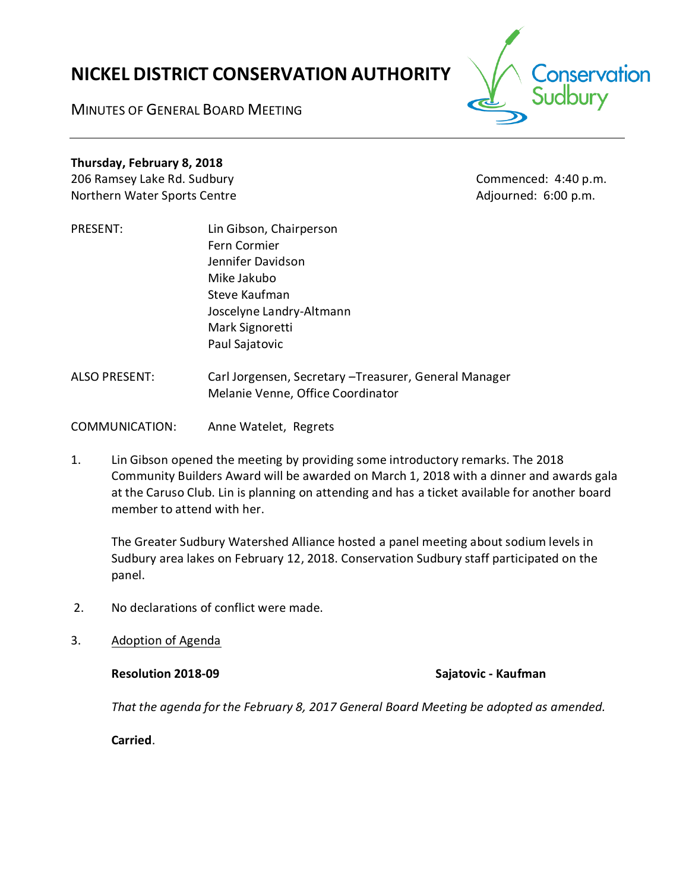# **NICKEL DISTRICT CONSERVATION AUTHORITY**

conservation

MINUTES OF GENERAL BOARD MEETING

# **Thursday, February 8, 2018**

206 Ramsey Lake Rd. Sudbury **Commenced: 4:40 p.m.** Northern Water Sports Centre **Adjourned: 6:00 p.m.** Adjourned: 6:00 p.m.

- PRESENT: Lin Gibson, Chairperson Fern Cormier Jennifer Davidson Mike Jakubo Steve Kaufman Joscelyne Landry-Altmann Mark Signoretti Paul Sajatovic
- ALSO PRESENT: Carl Jorgensen, Secretary –Treasurer, General Manager Melanie Venne, Office Coordinator
- COMMUNICATION: Anne Watelet, Regrets
- 1. Lin Gibson opened the meeting by providing some introductory remarks. The 2018 Community Builders Award will be awarded on March 1, 2018 with a dinner and awards gala at the Caruso Club. Lin is planning on attending and has a ticket available for another board member to attend with her.

The Greater Sudbury Watershed Alliance hosted a panel meeting about sodium levels in Sudbury area lakes on February 12, 2018. Conservation Sudbury staff participated on the panel.

- 2. No declarations of conflict were made.
- 3. Adoption of Agenda

**Resolution 2018-09 Sajatovic - Kaufman**

*That the agenda for the February 8, 2017 General Board Meeting be adopted as amended.*

**Carried**.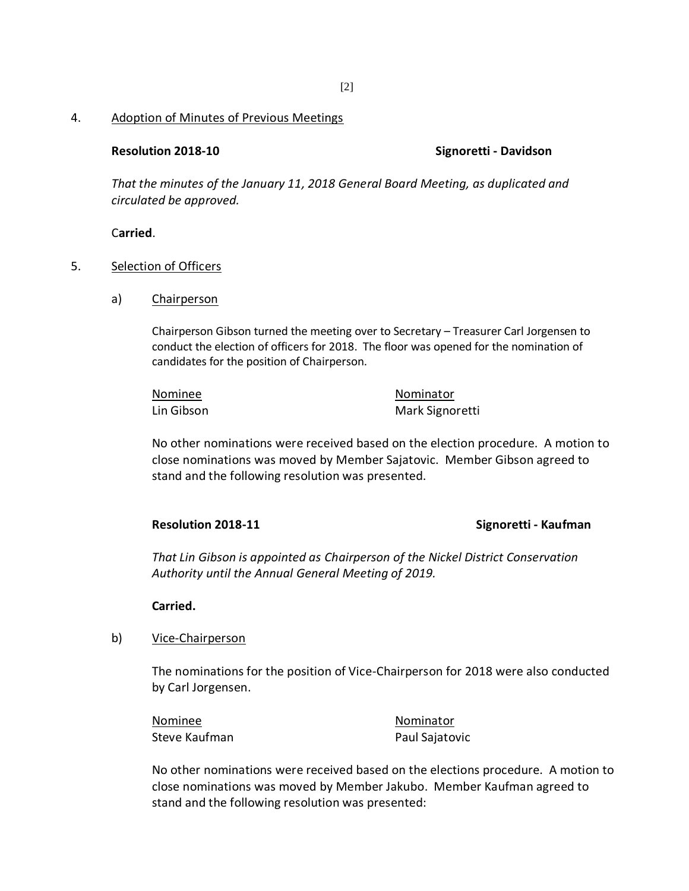### 4. Adoption of Minutes of Previous Meetings

### **Resolution 2018-10 Signoretti - Davidson**

*That the minutes of the January 11, 2018 General Board Meeting, as duplicated and circulated be approved.*

C**arried**.

### 5. Selection of Officers

a) Chairperson

Chairperson Gibson turned the meeting over to Secretary – Treasurer Carl Jorgensen to conduct the election of officers for 2018. The floor was opened for the nomination of candidates for the position of Chairperson.

| Nominee    | Nominator       |
|------------|-----------------|
| Lin Gibson | Mark Signoretti |

No other nominations were received based on the election procedure. A motion to close nominations was moved by Member Sajatovic. Member Gibson agreed to stand and the following resolution was presented.

### **Resolution 2018-11 Signoretti - Kaufman**

*That Lin Gibson is appointed as Chairperson of the Nickel District Conservation Authority until the Annual General Meeting of 2019.* 

# **Carried.**

# b) Vice-Chairperson

The nominations for the position of Vice-Chairperson for 2018 were also conducted by Carl Jorgensen.

| Nominee       | Nominator      |
|---------------|----------------|
| Steve Kaufman | Paul Sajatovic |

No other nominations were received based on the elections procedure. A motion to close nominations was moved by Member Jakubo. Member Kaufman agreed to stand and the following resolution was presented: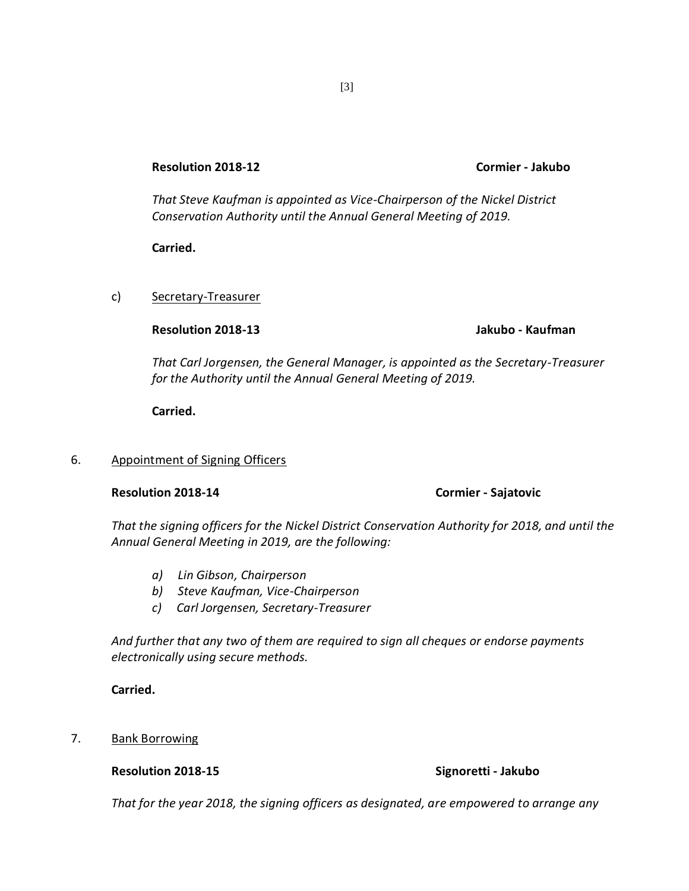# **Resolution 2018-12 Cormier - Jakubo**

*That Steve Kaufman is appointed as Vice-Chairperson of the Nickel District Conservation Authority until the Annual General Meeting of 2019.* 

**Carried.**

c) Secretary-Treasurer

**Resolution 2018-13 Jakubo - Kaufman**

*That Carl Jorgensen, the General Manager, is appointed as the Secretary-Treasurer for the Authority until the Annual General Meeting of 2019.*

**Carried.**

6. Appointment of Signing Officers

### **Resolution 2018-14 Cormier - Sajatovic**

*That the signing officers for the Nickel District Conservation Authority for 2018, and until the Annual General Meeting in 2019, are the following:*

- *a) Lin Gibson, Chairperson*
- *b) Steve Kaufman, Vice-Chairperson*
- *c) Carl Jorgensen, Secretary-Treasurer*

*And further that any two of them are required to sign all cheques or endorse payments electronically using secure methods.*

**Carried.**

7. Bank Borrowing

# **Resolution 2018-15 Signoretti - Jakubo**

*That for the year 2018, the signing officers as designated, are empowered to arrange any*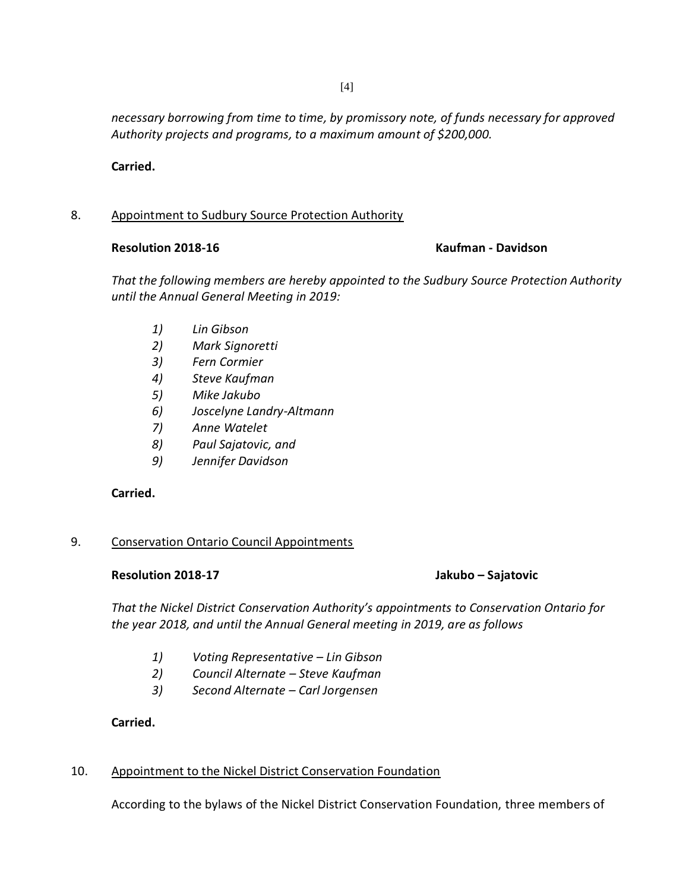*necessary borrowing from time to time, by promissory note, of funds necessary for approved Authority projects and programs, to a maximum amount of \$200,000.*

**Carried.**

# 8. Appointment to Sudbury Source Protection Authority

### **Resolution 2018-16 Kaufman - Davidson**

*That the following members are hereby appointed to the Sudbury Source Protection Authority until the Annual General Meeting in 2019:*

- *1) Lin Gibson*
- *2) Mark Signoretti*
- *3) Fern Cormier*
- *4) Steve Kaufman*
- *5) Mike Jakubo*
- *6) Joscelyne Landry-Altmann*
- *7) Anne Watelet*
- *8) Paul Sajatovic, and*
- *9) Jennifer Davidson*

# **Carried.**

# 9. Conservation Ontario Council Appointments

# **Resolution 2018-17 Jakubo – Sajatovic**

*That the Nickel District Conservation Authority's appointments to Conservation Ontario for the year 2018, and until the Annual General meeting in 2019, are as follows*

- *1) Voting Representative – Lin Gibson*
- *2) Council Alternate – Steve Kaufman*
- *3) Second Alternate – Carl Jorgensen*

# **Carried.**

# 10. Appointment to the Nickel District Conservation Foundation

According to the bylaws of the Nickel District Conservation Foundation, three members of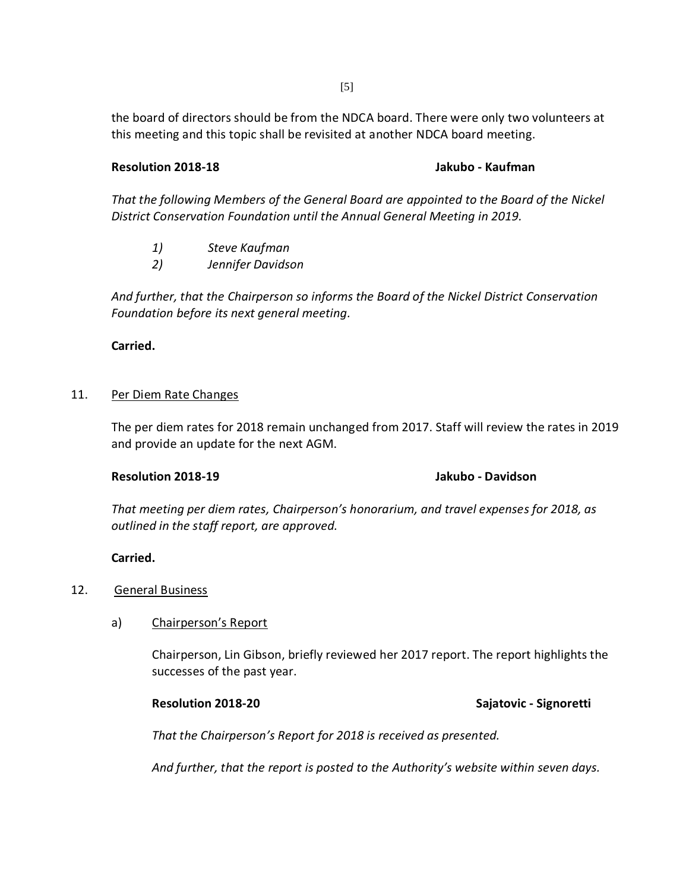the board of directors should be from the NDCA board. There were only two volunteers at this meeting and this topic shall be revisited at another NDCA board meeting.

# **Resolution 2018-18 Jakubo - Kaufman**

*That the following Members of the General Board are appointed to the Board of the Nickel District Conservation Foundation until the Annual General Meeting in 2019.*

- *1) Steve Kaufman*
- *2) Jennifer Davidson*

*And further, that the Chairperson so informs the Board of the Nickel District Conservation Foundation before its next general meeting.* 

**Carried.**

### 11. Per Diem Rate Changes

The per diem rates for 2018 remain unchanged from 2017. Staff will review the rates in 2019 and provide an update for the next AGM.

### **Resolution 2018-19 Jakubo - Davidson**

*That meeting per diem rates, Chairperson's honorarium, and travel expenses for 2018, as outlined in the staff report, are approved.* 

# **Carried.**

# 12. General Business

# a) Chairperson's Report

Chairperson, Lin Gibson, briefly reviewed her 2017 report. The report highlights the successes of the past year.

# **Resolution 2018-20 Sajatovic - Signoretti**

*That the Chairperson's Report for 2018 is received as presented.*

*And further, that the report is posted to the Authority's website within seven days.*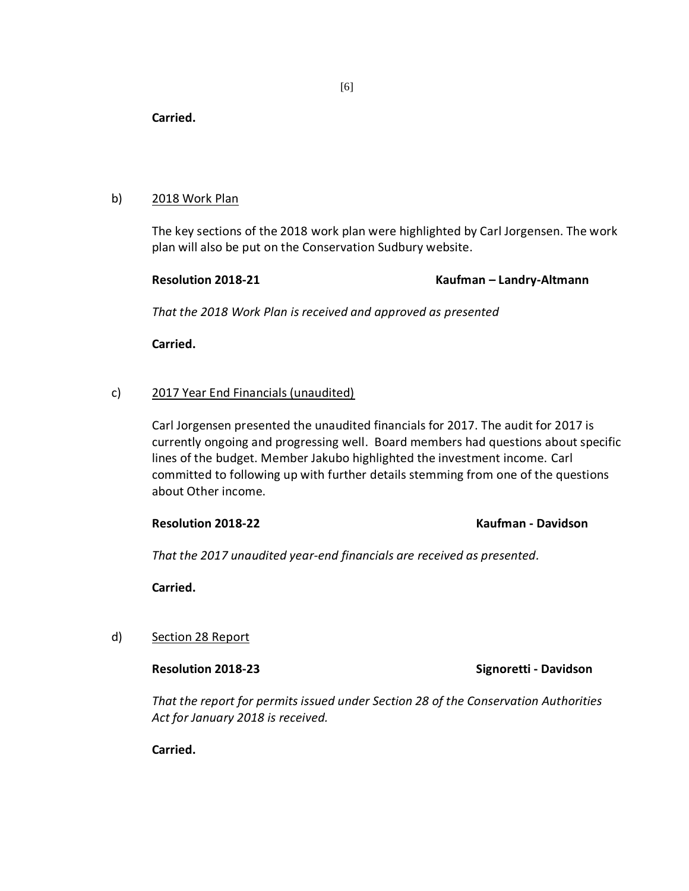**Carried.**

### b) 2018 Work Plan

The key sections of the 2018 work plan were highlighted by Carl Jorgensen. The work plan will also be put on the Conservation Sudbury website.

# **Resolution 2018-21 Kaufman – Landry-Altmann**

*That the 2018 Work Plan is received and approved as presented*

**Carried.**

# c) 2017 Year End Financials (unaudited)

Carl Jorgensen presented the unaudited financials for 2017. The audit for 2017 is currently ongoing and progressing well. Board members had questions about specific lines of the budget. Member Jakubo highlighted the investment income. Carl committed to following up with further details stemming from one of the questions about Other income.

# **Resolution 2018-22 Kaufman - Davidson**

*That the 2017 unaudited year-end financials are received as presented.*

**Carried.**

# d) Section 28 Report

**Resolution 2018-23 Signoretti - Davidson**

*That the report for permits issued under Section 28 of the Conservation Authorities Act for January 2018 is received.*

**Carried.**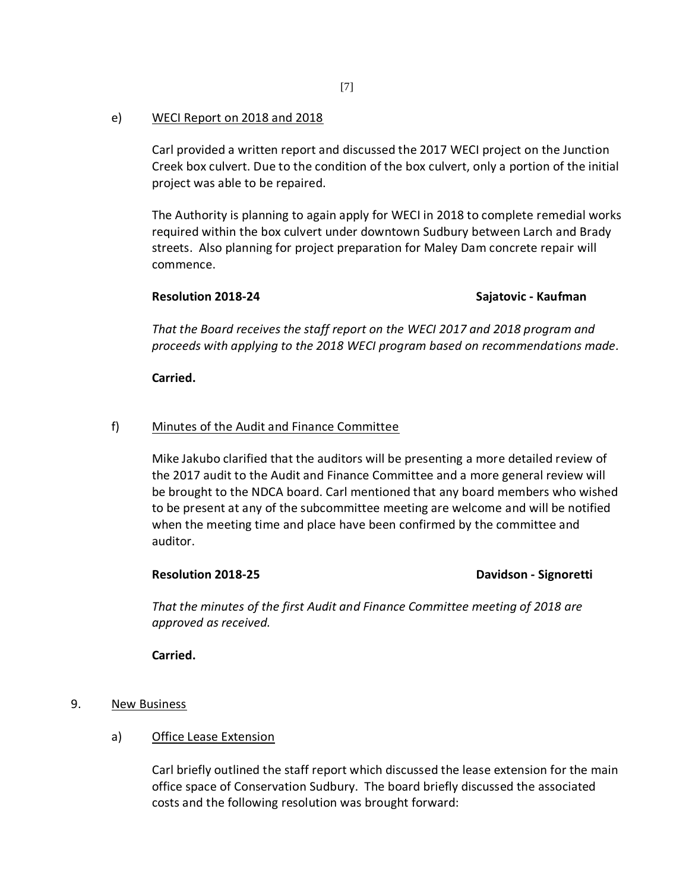# e) WECI Report on 2018 and 2018

Carl provided a written report and discussed the 2017 WECI project on the Junction Creek box culvert. Due to the condition of the box culvert, only a portion of the initial project was able to be repaired.

The Authority is planning to again apply for WECI in 2018 to complete remedial works required within the box culvert under downtown Sudbury between Larch and Brady streets. Also planning for project preparation for Maley Dam concrete repair will commence.

### **Resolution 2018-24 Sajatovic - Kaufman**

*That the Board receives the staff report on the WECI 2017 and 2018 program and proceeds with applying to the 2018 WECI program based on recommendations made.* 

### **Carried.**

# f) Minutes of the Audit and Finance Committee

Mike Jakubo clarified that the auditors will be presenting a more detailed review of the 2017 audit to the Audit and Finance Committee and a more general review will be brought to the NDCA board. Carl mentioned that any board members who wished to be present at any of the subcommittee meeting are welcome and will be notified when the meeting time and place have been confirmed by the committee and auditor.

### Resolution 2018-25 **Davidson - Signoretti**

*That the minutes of the first Audit and Finance Committee meeting of 2018 are approved as received.* 

**Carried.**

# 9. New Business

a) Office Lease Extension

Carl briefly outlined the staff report which discussed the lease extension for the main office space of Conservation Sudbury. The board briefly discussed the associated costs and the following resolution was brought forward: